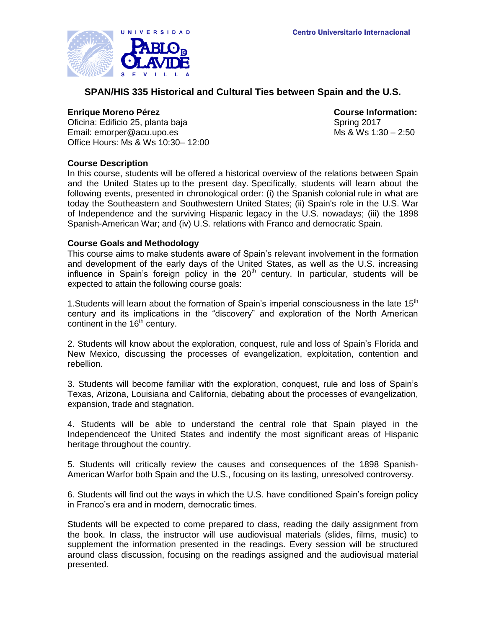

# **SPAN/HIS 335 Historical and Cultural Ties between Spain and the U.S.**

### **Enrique Moreno Pérez Course Information:**

Oficina: Edificio 25, planta baja Spring 2017 Email: emorper@acu.upo.es Ms & Ws 1:30 – 2:50 Office Hours: Ms & Ws 10:30– 12:00

# **Course Description**

In this course, students will be offered a historical overview of the relations between Spain and the United States up to the present day. Specifically, students will learn about the following events, presented in chronological order: (i) the Spanish colonial rule in what are today the Southeastern and Southwestern United States; (ii) Spain's role in the U.S. War of Independence and the surviving Hispanic legacy in the U.S. nowadays; (iii) the 1898 Spanish-American War; and (iv) U.S. relations with Franco and democratic Spain.

### **Course Goals and Methodology**

This course aims to make students aware of Spain's relevant involvement in the formation and development of the early days of the United States, as well as the U.S. increasing influence in Spain's foreign policy in the  $20<sup>th</sup>$  century. In particular, students will be expected to attain the following course goals:

1. Students will learn about the formation of Spain's imperial consciousness in the late  $15<sup>th</sup>$ century and its implications in the "discovery" and exploration of the North American continent in the 16<sup>th</sup> century.

2. Students will know about the exploration, conquest, rule and loss of Spain's Florida and New Mexico, discussing the processes of evangelization, exploitation, contention and rebellion.

3. Students will become familiar with the exploration, conquest, rule and loss of Spain's Texas, Arizona, Louisiana and California, debating about the processes of evangelization, expansion, trade and stagnation.

4. Students will be able to understand the central role that Spain played in the Independenceof the United States and indentify the most significant areas of Hispanic heritage throughout the country.

5. Students will critically review the causes and consequences of the 1898 Spanish-American Warfor both Spain and the U.S., focusing on its lasting, unresolved controversy.

6. Students will find out the ways in which the U.S. have conditioned Spain's foreign policy in Franco's era and in modern, democratic times.

Students will be expected to come prepared to class, reading the daily assignment from the book. In class, the instructor will use audiovisual materials (slides, films, music) to supplement the information presented in the readings. Every session will be structured around class discussion, focusing on the readings assigned and the audiovisual material presented.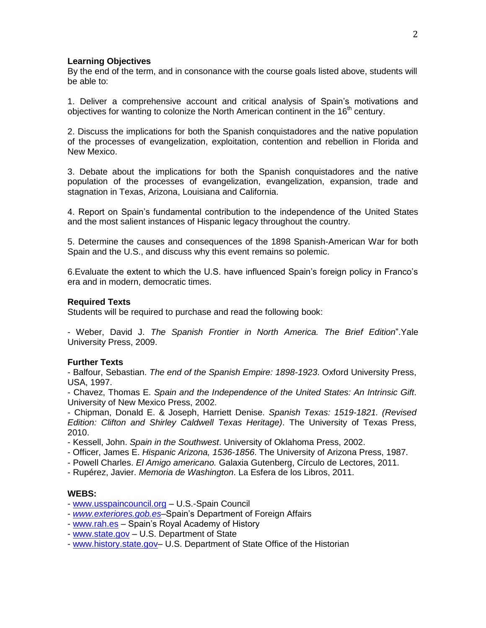#### **Learning Objectives**

By the end of the term, and in consonance with the course goals listed above, students will be able to:

1. Deliver a comprehensive account and critical analysis of Spain's motivations and objectives for wanting to colonize the North American continent in the  $16<sup>th</sup>$  century.

2. Discuss the implications for both the Spanish conquistadores and the native population of the processes of evangelization, exploitation, contention and rebellion in Florida and New Mexico.

3. Debate about the implications for both the Spanish conquistadores and the native population of the processes of evangelization, evangelization, expansion, trade and stagnation in Texas, Arizona, Louisiana and California.

4. Report on Spain's fundamental contribution to the independence of the United States and the most salient instances of Hispanic legacy throughout the country.

5. Determine the causes and consequences of the 1898 Spanish-American War for both Spain and the U.S., and discuss why this event remains so polemic.

6.Evaluate the extent to which the U.S. have influenced Spain's foreign policy in Franco's era and in modern, democratic times.

#### **Required Texts**

Students will be required to purchase and read the following book:

- Weber, David J. *The Spanish Frontier in North America. The Brief Edition*".Yale University Press, 2009.

### **Further Texts**

- Balfour, Sebastian. *The end of the Spanish Empire: 1898-1923*. Oxford University Press, USA, 1997.

- Chavez, Thomas E. *Spain and the Independence of the United States: An Intrinsic Gift*. University of New Mexico Press, 2002.

- Chipman, Donald E. & Joseph, Harriett Denise. *Spanish Texas: 1519-1821. (Revised Edition: Clifton and Shirley Caldwell Texas Heritage)*. The University of Texas Press, 2010.

- Kessell, John. *Spain in the Southwest*. University of Oklahoma Press, 2002.
- Officer, James E. *Hispanic Arizona, 1536-1856*. The University of Arizona Press, 1987.
- Powell Charles. *El Amigo americano.* Galaxia Gutenberg, Círculo de Lectores, 2011.
- Rupérez, Javier. *Memoria de Washington*. La Esfera de los Libros, 2011.

# **WEBS:**

- [www.usspaincouncil.org](http://www.usspaincouncil.org/) U.S.-Spain Council
- *[www.exteriores.gob.es](http://www.exteriores.gob.es/)*–Spain's Department of Foreign Affairs
- [www.rah.es](http://www.rah.es/) Spain's Royal Academy of History
- [www.state.gov](http://www.state.gov/) U.S. Department of State
- [www.history.state.gov–](http://www.history.state.gov/) U.S. Department of State Office of the Historian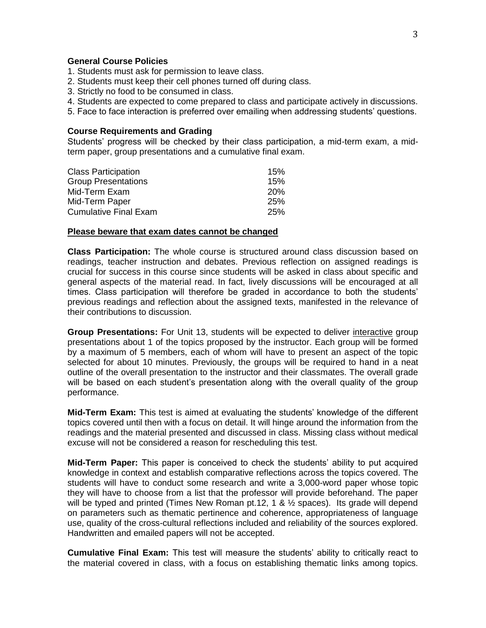#### **General Course Policies**

- 1. Students must ask for permission to leave class.
- 2. Students must keep their cell phones turned off during class.
- 3. Strictly no food to be consumed in class.
- 4. Students are expected to come prepared to class and participate actively in discussions.
- 5. Face to face interaction is preferred over emailing when addressing students' questions.

#### **Course Requirements and Grading**

Students' progress will be checked by their class participation, a mid-term exam, a midterm paper, group presentations and a cumulative final exam.

| <b>Class Participation</b>   | 15%        |
|------------------------------|------------|
| <b>Group Presentations</b>   | 15%        |
| Mid-Term Exam                | <b>20%</b> |
| Mid-Term Paper               | 25%        |
| <b>Cumulative Final Exam</b> | 25%        |
|                              |            |

#### **Please beware that exam dates cannot be changed**

**Class Participation:** The whole course is structured around class discussion based on readings, teacher instruction and debates. Previous reflection on assigned readings is crucial for success in this course since students will be asked in class about specific and general aspects of the material read. In fact, lively discussions will be encouraged at all times. Class participation will therefore be graded in accordance to both the students' previous readings and reflection about the assigned texts, manifested in the relevance of their contributions to discussion.

**Group Presentations:** For Unit 13, students will be expected to deliver interactive group presentations about 1 of the topics proposed by the instructor. Each group will be formed by a maximum of 5 members, each of whom will have to present an aspect of the topic selected for about 10 minutes. Previously, the groups will be required to hand in a neat outline of the overall presentation to the instructor and their classmates. The overall grade will be based on each student's presentation along with the overall quality of the group performance.

**Mid-Term Exam:** This test is aimed at evaluating the students' knowledge of the different topics covered until then with a focus on detail. It will hinge around the information from the readings and the material presented and discussed in class. Missing class without medical excuse will not be considered a reason for rescheduling this test.

**Mid-Term Paper:** This paper is conceived to check the students' ability to put acquired knowledge in context and establish comparative reflections across the topics covered. The students will have to conduct some research and write a 3,000-word paper whose topic they will have to choose from a list that the professor will provide beforehand. The paper will be typed and printed (Times New Roman pt.12, 1 &  $\frac{1}{2}$  spaces). Its grade will depend on parameters such as thematic pertinence and coherence, appropriateness of language use, quality of the cross-cultural reflections included and reliability of the sources explored. Handwritten and emailed papers will not be accepted.

**Cumulative Final Exam:** This test will measure the students' ability to critically react to the material covered in class, with a focus on establishing thematic links among topics.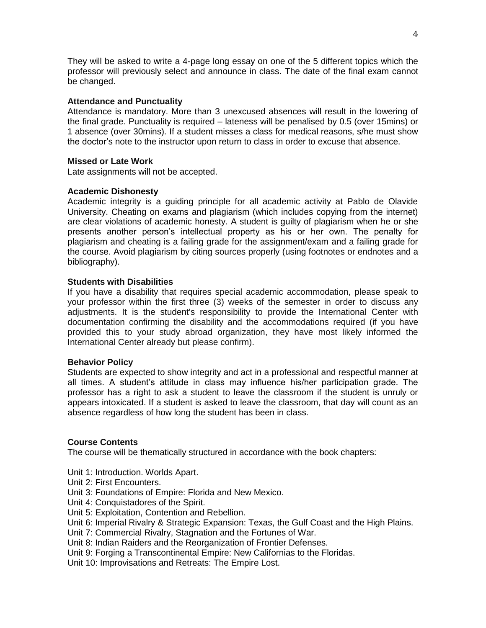They will be asked to write a 4-page long essay on one of the 5 different topics which the professor will previously select and announce in class. The date of the final exam cannot be changed.

# **Attendance and Punctuality**

Attendance is mandatory. More than 3 unexcused absences will result in the lowering of the final grade. Punctuality is required – lateness will be penalised by 0.5 (over 15mins) or 1 absence (over 30mins). If a student misses a class for medical reasons, s/he must show the doctor's note to the instructor upon return to class in order to excuse that absence.

# **Missed or Late Work**

Late assignments will not be accepted.

# **Academic Dishonesty**

Academic integrity is a guiding principle for all academic activity at Pablo de Olavide University. Cheating on exams and plagiarism (which includes copying from the internet) are clear violations of academic honesty. A student is guilty of plagiarism when he or she presents another person's intellectual property as his or her own. The penalty for plagiarism and cheating is a failing grade for the assignment/exam and a failing grade for the course. Avoid plagiarism by citing sources properly (using footnotes or endnotes and a bibliography).

# **Students with Disabilities**

If you have a disability that requires special academic accommodation, please speak to your professor within the first three (3) weeks of the semester in order to discuss any adjustments. It is the student's responsibility to provide the International Center with documentation confirming the disability and the accommodations required (if you have provided this to your study abroad organization, they have most likely informed the International Center already but please confirm).

### **Behavior Policy**

Students are expected to show integrity and act in a professional and respectful manner at all times. A student's attitude in class may influence his/her participation grade. The professor has a right to ask a student to leave the classroom if the student is unruly or appears intoxicated. If a student is asked to leave the classroom, that day will count as an absence regardless of how long the student has been in class.

### **Course Contents**

The course will be thematically structured in accordance with the book chapters:

Unit 1: Introduction. Worlds Apart.

Unit 2: First Encounters.

Unit 3: Foundations of Empire: Florida and New Mexico.

Unit 4: Conquistadores of the Spirit.

Unit 5: Exploitation, Contention and Rebellion.

Unit 6: Imperial Rivalry & Strategic Expansion: Texas, the Gulf Coast and the High Plains.

Unit 7: Commercial Rivalry, Stagnation and the Fortunes of War.

Unit 8: Indian Raiders and the Reorganization of Frontier Defenses.

Unit 9: Forging a Transcontinental Empire: New Californias to the Floridas.

Unit 10: Improvisations and Retreats: The Empire Lost.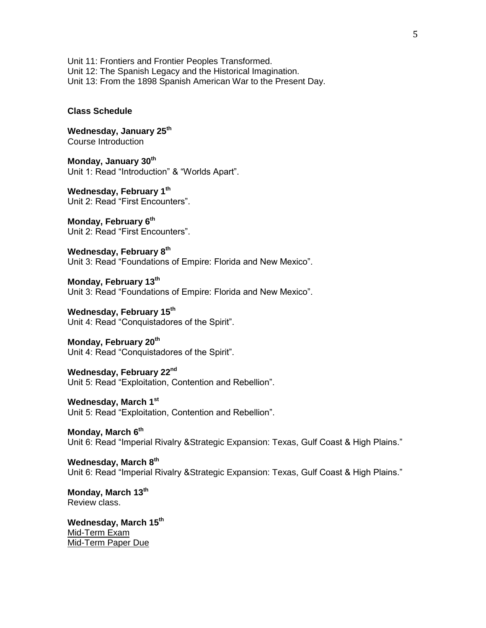Unit 11: Frontiers and Frontier Peoples Transformed. Unit 12: The Spanish Legacy and the Historical Imagination. Unit 13: From the 1898 Spanish American War to the Present Day.

#### **Class Schedule**

**Wednesday, January 25 th** Course Introduction

**Monday, January 30th** Unit 1: Read "Introduction" & "Worlds Apart".

**Wednesday, February 1th** Unit 2: Read "First Encounters".

**Monday, February 6 th** Unit 2: Read "First Encounters".

**Wednesday, February 8 th** Unit 3: Read "Foundations of Empire: Florida and New Mexico".

**Monday, February 13 th** Unit 3: Read "Foundations of Empire: Florida and New Mexico".

**Wednesday, February 15th** Unit 4: Read "Conquistadores of the Spirit".

**Monday, February 20 th** Unit 4: Read "Conquistadores of the Spirit".

**Wednesday, February 22nd** Unit 5: Read "Exploitation, Contention and Rebellion".

**Wednesday, March 1 st** Unit 5: Read "Exploitation, Contention and Rebellion".

**Monday, March 6 th** Unit 6: Read "Imperial Rivalry &Strategic Expansion: Texas, Gulf Coast & High Plains."

**Wednesday, March 8 th** Unit 6: Read "Imperial Rivalry &Strategic Expansion: Texas, Gulf Coast & High Plains."

**Monday, March 13 th** Review class.

**Wednesday, March 15 th** Mid-Term Exam Mid-Term Paper Due